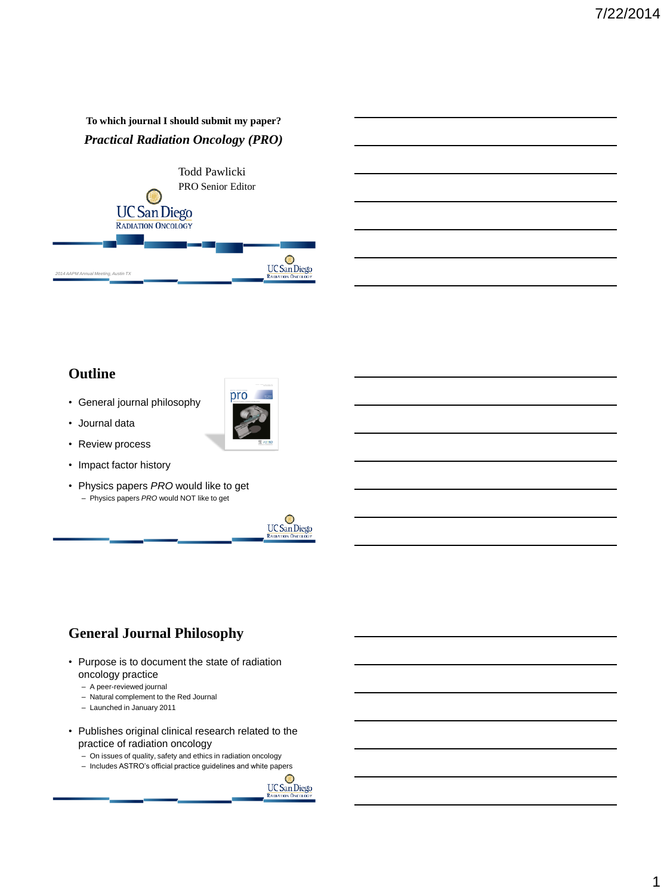#### **To which journal I should submit my paper?**  *Practical Radiation Oncology (PRO)*



## **Outline**

• General journal philosophy



- Review process
- Impact factor history
- Physics papers *PRO* would like to get – Physics papers *PRO* would NOT like to get





# **General Journal Philosophy**

- Purpose is to document the state of radiation oncology practice
	- A peer-reviewed journal
	- Natural complement to the Red Journal
	- Launched in January 2011
- Publishes original clinical research related to the practice of radiation oncology
	- On issues of quality, safety and ethics in radiation oncology
	- Includes ASTRO's official practice guidelines and white papers

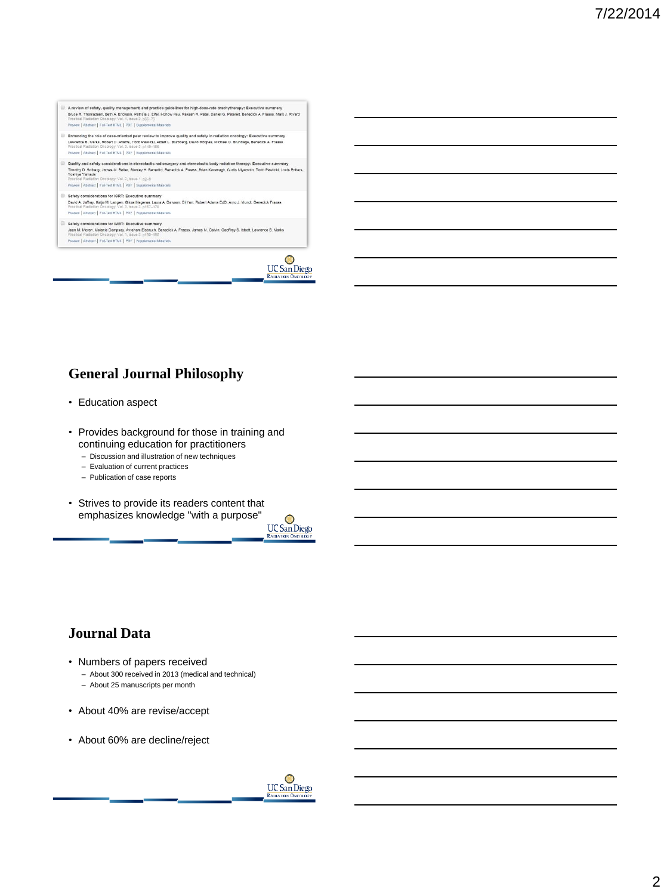- A review of safety, quality management, and practice guidelines for high-dose-rate brachytherapy: Executive summary<br>Bruce R. Thomadsen, Beth A Eridson, Patricia J. Elfel, I-Chow Hsu, Rakesh R. Patel, Daniel G. Peterelt, Be Preview | Abstract | Full-Text HTML | PDF | Supplem
- E Enhancing the role of case-oriented peer review to improve quality and safety in radiation oncology: Executive summary<br>Lawrence B. Maria, Robert D. Adams, Todd Pasicki, Abert L. Bumberg, David Hoopes, Michael D. Brundage tical Radiation Oncology, Vol. 3, Issue 3, p<br>ew | Abstract | Full-Text HTML | PDF | Suppl
- | Quality and safety considerations in stereotactic radiosurgery and stereotactic body radiation therapy: Executive summary<br>Timoty), 0.solegy\_James M. Bater, Stariey H. Benedict. Benedict A. Frasss, Brian Kavanagh, Curis
- 
- Safety considerations for IGRT: Executive summary<br>David A. affay, Kaja M. Langen, Gisaa Mageras, Laura A Davion, Di Yan, Robert Adams EdD, Arno J. Mundt, Benedik Fraass<br>Practical Radiation Oncology, Vol. 3. Issue 3. p157–1
- Safety considerations for IMRT: Executive summary<br>Jean M. Moran, Melanie Dempery, Avanami Elektron, Benedick A. Frasss, James M. Galvin, Geoffrey S. Rbolt, Lawrence B. Marks<br>Practical Radiation Oncology, Vol. 1, Issue 3, p Preview | Abstract | Full-Text HTML | PDF | Suppler intal Materials



# **General Journal Philosophy**

- Education aspect
- Provides background for those in training and continuing education for practitioners
	- Discussion and illustration of new techniques
	- Evaluation of current practices
	- Publication of case reports
- Strives to provide its readers content that emphasizes knowledge "with a purpose"

 $\overline{UC}$ San Diego **RADIATION ONCOR** 

## **Journal Data**

- Numbers of papers received
	- About 300 received in 2013 (medical and technical)
	- About 25 manuscripts per month
- About 40% are revise/accept
- About 60% are decline/reject

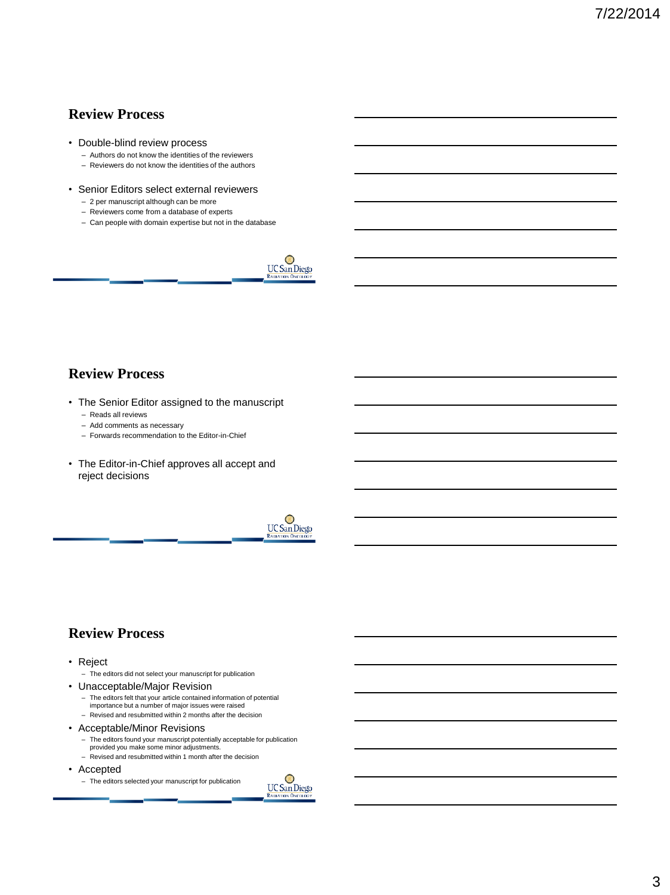#### **Review Process**

- Double-blind review process
	- Authors do not know the identities of the reviewers
	- Reviewers do not know the identities of the authors
- Senior Editors select external reviewers
	- 2 per manuscript although can be more
	- Reviewers come from a database of experts
	- Can people with domain expertise but not in the database



# **Review Process**

- The Senior Editor assigned to the manuscript
	- Reads all reviews
	- Add comments as necessary
	- Forwards recommendation to the Editor-in-Chief
- The Editor-in-Chief approves all accept and reject decisions



#### **Review Process**

#### • Reject

- The editors did not select your manuscript for publication
- Unacceptable/Major Revision
	- The editors felt that your article contained information of potential importance but a number of major issues were raised
	- Revised and resubmitted within 2 months after the decision
- Acceptable/Minor Revisions
	- The editors found your manuscript potentially acceptable for publication
	- provided you make some minor adjustments. – Revised and resubmitted within 1 month after the decision
- Accepted

– The editors selected your manuscript for publication

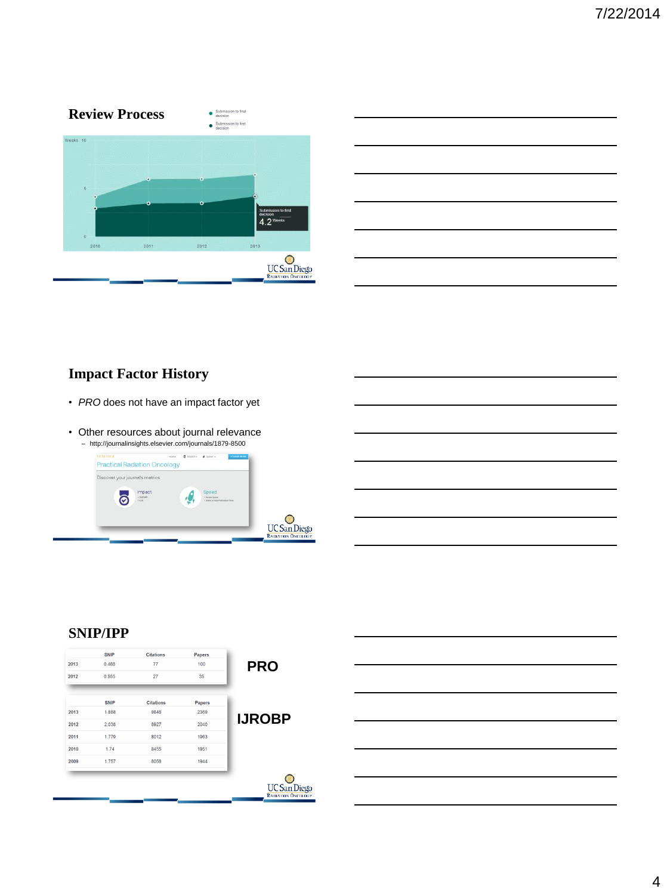

# **Impact Factor History**

- *PRO* does not have an impact factor yet
- Other resources about journal relevance – http://journalinsights.elsevier.com/journals/1879-8500



#### **SNIP/IPP**

| 2013 | <b>SNIP</b><br>0.488 | <b>Citations</b><br>77 | <b>Papers</b><br>100 |               |
|------|----------------------|------------------------|----------------------|---------------|
| 2012 | 0.955                | 27                     | 35                   | <b>PRO</b>    |
|      | <b>SNIP</b>          | <b>Citations</b>       | Papers               |               |
| 2013 | 1.888                | 9846                   | 2369                 |               |
| 2012 | 2.038                | 8927                   | 2040                 | <b>IJROBP</b> |
| 2011 | 1.779                | 8012                   | 1963                 |               |
| 2010 | 1.74                 | 8455                   | 1951                 |               |
| 2009 | 1.757                | 8058                   | 1944                 |               |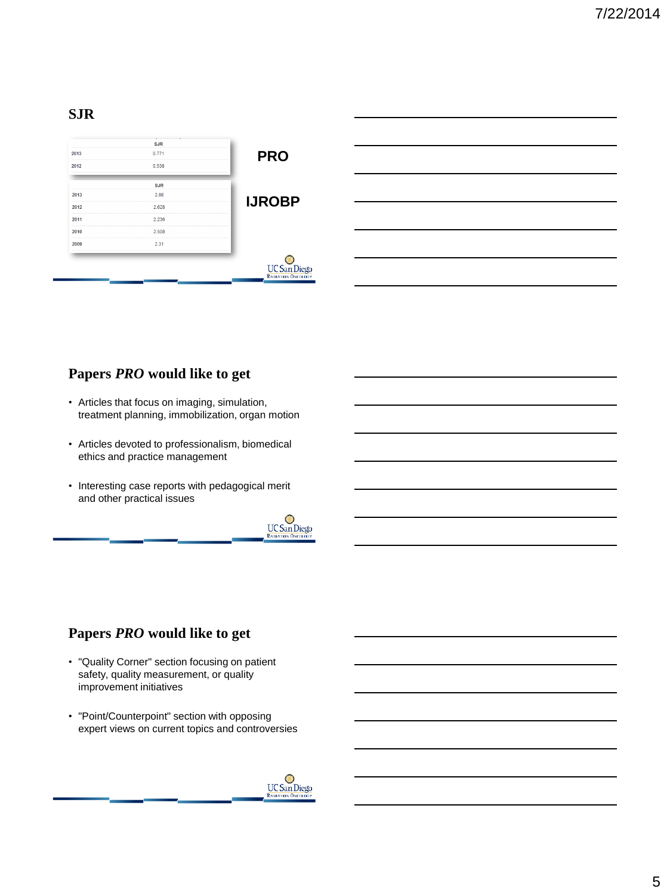#### **SJR**

| 2013 | <b>SJR</b><br>0.771 | <b>PRO</b>                                       |
|------|---------------------|--------------------------------------------------|
| 2012 | 0.538               |                                                  |
|      | <b>SJR</b>          |                                                  |
| 2013 | 2.86                | <b>IJROBP</b>                                    |
| 2012 | 2.628               |                                                  |
| 2011 | 2.236               |                                                  |
| 2010 | 2.508               |                                                  |
| 2009 | 2.31                |                                                  |
|      |                     | <b>UC</b> San Diego<br><b>RADIATION ONCOLOGY</b> |

# **Papers** *PRO* **would like to get**

- Articles that focus on imaging, simulation, treatment planning, immobilization, organ motion
- Articles devoted to professionalism, biomedical ethics and practice management
- Interesting case reports with pedagogical merit and other practical issues



# **Papers** *PRO* **would like to get**

- "Quality Corner" section focusing on patient safety, quality measurement, or quality improvement initiatives
- "Point/Counterpoint" section with opposing expert views on current topics and controversies

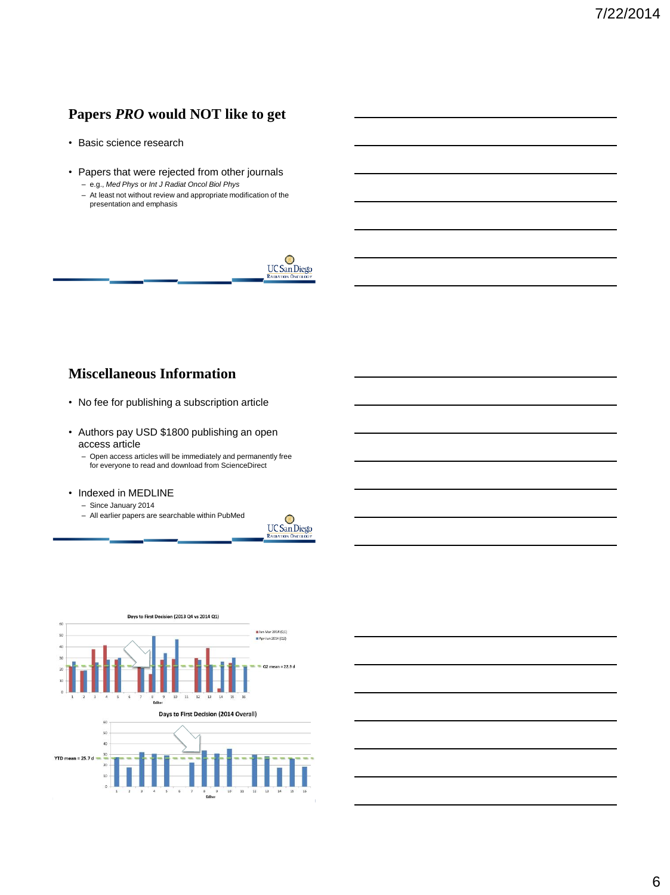# **Papers** *PRO* **would NOT like to get**

- Basic science research
- Papers that were rejected from other journals – e.g., *Med Phys* or *Int J Radiat Oncol Biol Phys*
	- At least not without review and appropriate modification of the presentation and emphasis



#### **Miscellaneous Information**

- No fee for publishing a subscription article
- Authors pay USD \$1800 publishing an open access article
	- Open access articles will be immediately and permanently free for everyone to read and download from ScienceDirect
- Indexed in MEDLINE
	- Since January 2014
	- All earlier papers are searchable within PubMed